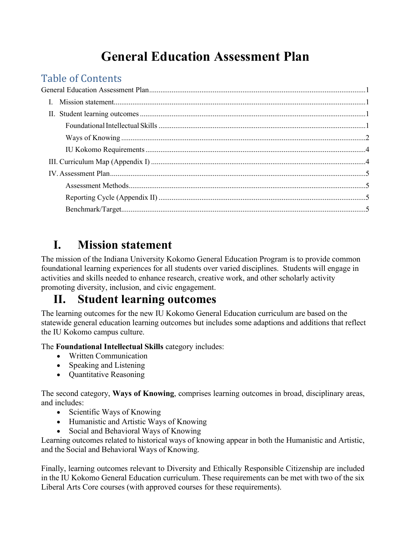# **General Education Assessment Plan**

# <span id="page-0-0"></span>Table of Contents<br>General Education Assessm

# <span id="page-0-1"></span>**I. Mission statement**

The mission of the Indiana University Kokomo General Education Program is to provide common foundational learning experiences for all students over varied disciplines. Students will engage in activities and skills needed to enhance research, creative work, and other scholarly activity promoting diversity, inclusion, and civic engagement.

## <span id="page-0-2"></span>**II. Student learning outcomes**

The learning outcomes for the new IU Kokomo General Education curriculum are based on the statewide general education learning outcomes but includes some adaptions and additions that reflect the IU Kokomo campus culture.

The **Foundational Intellectual Skills** category includes:

- Written Communication
- Speaking and Listening
- Quantitative Reasoning

The second category, **Ways of Knowing**, comprises learning outcomes in broad, disciplinary areas, and includes:

- Scientific Ways of Knowing
- Humanistic and Artistic Ways of Knowing
- Social and Behavioral Ways of Knowing

Learning outcomes related to historical ways of knowing appear in both the Humanistic and Artistic, and the Social and Behavioral Ways of Knowing.

Finally, learning outcomes relevant to Diversity and Ethically Responsible Citizenship are included in the IU Kokomo General Education curriculum. These requirements can be met with two of the six Liberal Arts Core courses (with approved courses for these requirements).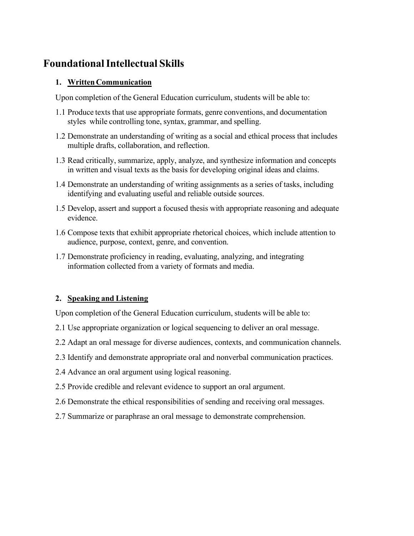### <span id="page-1-0"></span>**FoundationalIntellectual Skills**

#### **1. WrittenCommunication**

Upon completion of the General Education curriculum, students will be able to:

- 1.1 Produce texts that use appropriate formats, genre conventions, and documentation styles while controlling tone, syntax, grammar, and spelling.
- 1.2 Demonstrate an understanding of writing as a social and ethical process that includes multiple drafts, collaboration, and reflection.
- 1.3 Read critically, summarize, apply, analyze, and synthesize information and concepts in written and visual texts as the basis for developing original ideas and claims.
- 1.4 Demonstrate an understanding of writing assignments as a series of tasks, including identifying and evaluating useful and reliable outside sources.
- 1.5 Develop, assert and support a focused thesis with appropriate reasoning and adequate evidence.
- 1.6 Compose texts that exhibit appropriate rhetorical choices, which include attention to audience, purpose, context, genre, and convention.
- 1.7 Demonstrate proficiency in reading, evaluating, analyzing, and integrating information collected from a variety of formats and media.

#### **2. Speaking and Listening**

Upon completion of the General Education curriculum, students will be able to:

- 2.1 Use appropriate organization or logical sequencing to deliver an oral message.
- 2.2 Adapt an oral message for diverse audiences, contexts, and communication channels.
- 2.3 Identify and demonstrate appropriate oral and nonverbal communication practices.
- 2.4 Advance an oral argument using logical reasoning.
- 2.5 Provide credible and relevant evidence to support an oral argument.
- 2.6 Demonstrate the ethical responsibilities of sending and receiving oral messages.
- 2.7 Summarize or paraphrase an oral message to demonstrate comprehension.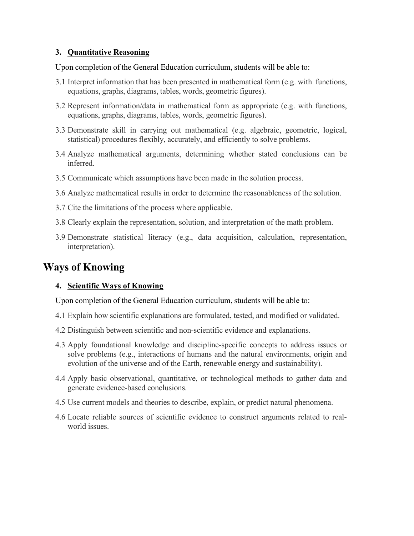#### **3. Quantitative Reasoning**

Upon completion of the General Education curriculum, students will be able to:

- 3.1 Interpret information that has been presented in mathematical form (e.g. with functions, equations, graphs, diagrams, tables, words, geometric figures).
- 3.2 Represent information/data in mathematical form as appropriate (e.g. with functions, equations, graphs, diagrams, tables, words, geometric figures).
- 3.3 Demonstrate skill in carrying out mathematical (e.g. algebraic, geometric, logical, statistical) procedures flexibly, accurately, and efficiently to solve problems.
- 3.4 Analyze mathematical arguments, determining whether stated conclusions can be inferred.
- 3.5 Communicate which assumptions have been made in the solution process.
- 3.6 Analyze mathematical results in order to determine the reasonableness of the solution.
- 3.7 Cite the limitations of the process where applicable.
- 3.8 Clearly explain the representation, solution, and interpretation of the math problem.
- 3.9 Demonstrate statistical literacy (e.g., data acquisition, calculation, representation, interpretation).

### <span id="page-2-0"></span>**Ways of Knowing**

#### **4. Scientific Ways of Knowing**

Upon completion of the General Education curriculum, students will be able to:

- 4.1 Explain how scientific explanations are formulated, tested, and modified or validated.
- 4.2 Distinguish between scientific and non‐scientific evidence and explanations.
- 4.3 Apply foundational knowledge and discipline‐specific concepts to address issues or solve problems (e.g., interactions of humans and the natural environments, origin and evolution of the universe and of the Earth, renewable energy and sustainability).
- 4.4 Apply basic observational, quantitative, or technological methods to gather data and generate evidence‐based conclusions.
- 4.5 Use current models and theories to describe, explain, or predict natural phenomena.
- 4.6 Locate reliable sources of scientific evidence to construct arguments related to real‐ world issues.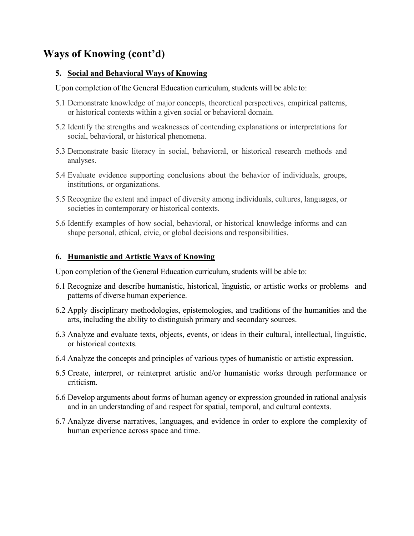### **Ways of Knowing (cont'd)**

#### **5. Social and Behavioral Ways of Knowing**

Upon completion of the General Education curriculum, students will be able to:

- 5.1 Demonstrate knowledge of major concepts, theoretical perspectives, empirical patterns, or historical contexts within a given social or behavioral domain.
- 5.2 Identify the strengths and weaknesses of contending explanations or interpretations for social, behavioral, or historical phenomena.
- 5.3 Demonstrate basic literacy in social, behavioral, or historical research methods and analyses.
- 5.4 Evaluate evidence supporting conclusions about the behavior of individuals, groups, institutions, or organizations.
- 5.5 Recognize the extent and impact of diversity among individuals, cultures, languages, or societies in contemporary or historical contexts.
- 5.6 Identify examples of how social, behavioral, or historical knowledge informs and can shape personal, ethical, civic, or global decisions and responsibilities.

#### **6. Humanistic and Artistic Ways of Knowing**

Upon completion of the General Education curriculum, students will be able to:

- 6.1 Recognize and describe humanistic, historical, linguistic, or artistic works or problems and patterns of diverse human experience.
- 6.2 Apply disciplinary methodologies, epistemologies, and traditions of the humanities and the arts, including the ability to distinguish primary and secondary sources.
- 6.3 Analyze and evaluate texts, objects, events, or ideas in their cultural, intellectual, linguistic, or historical contexts.
- 6.4 Analyze the concepts and principles of various types of humanistic or artistic expression.
- 6.5 Create, interpret, or reinterpret artistic and/or humanistic works through performance or criticism.
- 6.6 Develop arguments about forms of human agency or expression grounded in rational analysis and in an understanding of and respect for spatial, temporal, and cultural contexts.
- 6.7 Analyze diverse narratives, languages, and evidence in order to explore the complexity of human experience across space and time.